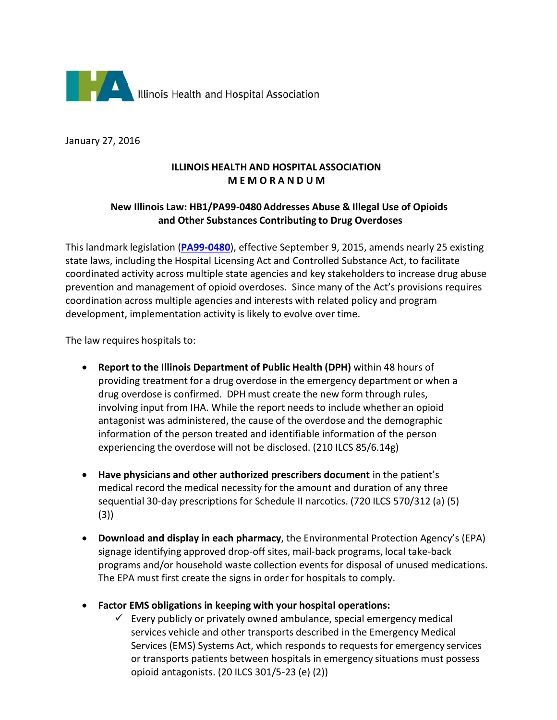

January 27, 2016

## **ILLINOIS HEALTH AND HOSPITAL ASSOCIATION M E M O R A N D U M**

# **New Illinois Law: HB1/PA99-0480 Addresses Abuse & Illegal Use of Opioids and Other Substances Contributing to Drug Overdoses**

This landmark legislation (**[PA99-0480](http://www.ilga.gov/legislation/publicacts/99/PDF/099-0480.pdf)**), effective September 9, 2015, amends nearly 25 existing state laws, including the Hospital Licensing Act and Controlled Substance Act, to facilitate coordinated activity across multiple state agencies and key stakeholders to increase drug abuse prevention and management of opioid overdoses. Since many of the Act's provisions requires coordination across multiple agencies and interests with related policy and program development, implementation activity is likely to evolve over time.

The law requires hospitals to:

- **Report to the Illinois Department of Public Health (DPH)** within 48 hours of providing treatment for a drug overdose in the emergency department or when a drug overdose is confirmed. DPH must create the new form through rules, involving input from IHA. While the report needs to include whether an opioid antagonist was administered, the cause of the overdose and the demographic information of the person treated and identifiable information of the person experiencing the overdose will not be disclosed. (210 ILCS 85/6.14g)
- **Have physicians and other authorized prescribers document** in the patient's medical record the medical necessity for the amount and duration of any three sequential 30-day prescriptions for Schedule II narcotics. (720 ILCS 570/312 (a) (5) (3))
- **Download and display in each pharmacy**, the Environmental Protection Agency's (EPA) signage identifying approved drop-off sites, mail-back programs, local take-back programs and/or household waste collection events for disposal of unused medications. The EPA must first create the signs in order for hospitals to comply.
- **Factor EMS obligations in keeping with your hospital operations:**
	- $\checkmark$  Every publicly or privately owned ambulance, special emergency medical services vehicle and other transports described in the Emergency Medical Services (EMS) Systems Act, which responds to requests for emergency services or transports patients between hospitals in emergency situations must possess opioid antagonists. (20 ILCS 301/5-23 (e) (2))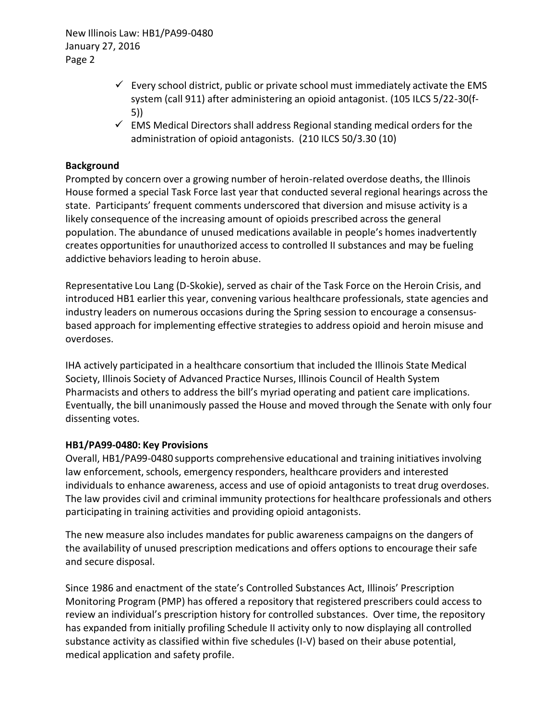New Illinois Law: HB1/PA99-0480 January 27, 2016 Page 2

- $\checkmark$  Every school district, public or private school must immediately activate the EMS system (call 911) after administering an opioid antagonist. (105 ILCS 5/22-30(f-5))
- $\checkmark$  EMS Medical Directors shall address Regional standing medical orders for the administration of opioid antagonists. (210 ILCS 50/3.30 (10)

## **Background**

Prompted by concern over a growing number of heroin-related overdose deaths, the Illinois House formed a special Task Force last year that conducted several regional hearings across the state. Participants' frequent comments underscored that diversion and misuse activity is a likely consequence of the increasing amount of opioids prescribed across the general population. The abundance of unused medications available in people's homes inadvertently creates opportunities for unauthorized access to controlled II substances and may be fueling addictive behaviors leading to heroin abuse.

Representative Lou Lang (D-Skokie), served as chair of the Task Force on the Heroin Crisis, and introduced HB1 earlier this year, convening various healthcare professionals, state agencies and industry leaders on numerous occasions during the Spring session to encourage a consensusbased approach for implementing effective strategiesto address opioid and heroin misuse and overdoses.

IHA actively participated in a healthcare consortium that included the Illinois State Medical Society, Illinois Society of Advanced Practice Nurses, Illinois Council of Health System Pharmacists and others to address the bill's myriad operating and patient care implications. Eventually, the bill unanimously passed the House and moved through the Senate with only four dissenting votes.

### **HB1/PA99-0480: Key Provisions**

Overall, HB1/PA99-0480 supports comprehensive educational and training initiatives involving law enforcement, schools, emergency responders, healthcare providers and interested individuals to enhance awareness, access and use of opioid antagonists to treat drug overdoses. The law provides civil and criminal immunity protections for healthcare professionals and others participating in training activities and providing opioid antagonists.

The new measure also includes mandates for public awareness campaigns on the dangers of the availability of unused prescription medications and offers options to encourage their safe and secure disposal.

Since 1986 and enactment of the state's Controlled Substances Act, Illinois' Prescription Monitoring Program (PMP) has offered a repository that registered prescribers could access to review an individual's prescription history for controlled substances. Over time, the repository has expanded from initially profiling Schedule II activity only to now displaying all controlled substance activity as classified within five schedules (I-V) based on their abuse potential, medical application and safety profile.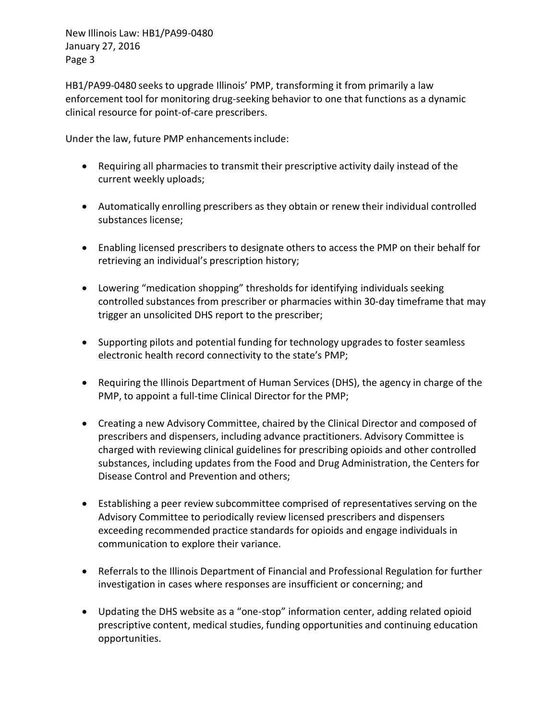New Illinois Law: HB1/PA99-0480 January 27, 2016 Page 3

HB1/PA99-0480 seeks to upgrade Illinois' PMP, transforming it from primarily a law enforcement tool for monitoring drug-seeking behavior to one that functions as a dynamic clinical resource for point-of-care prescribers.

Under the law, future PMP enhancements include:

- Requiring all pharmacies to transmit their prescriptive activity daily instead of the current weekly uploads;
- Automatically enrolling prescribers as they obtain or renew their individual controlled substances license;
- Enabling licensed prescribers to designate others to access the PMP on their behalf for retrieving an individual's prescription history;
- Lowering "medication shopping" thresholds for identifying individuals seeking controlled substances from prescriber or pharmacies within 30-day timeframe that may trigger an unsolicited DHS report to the prescriber;
- Supporting pilots and potential funding for technology upgradesto foster seamless electronic health record connectivity to the state's PMP;
- Requiring the Illinois Department of Human Services (DHS), the agency in charge of the PMP, to appoint a full-time Clinical Director for the PMP;
- Creating a new Advisory Committee, chaired by the Clinical Director and composed of prescribers and dispensers, including advance practitioners. Advisory Committee is charged with reviewing clinical guidelines for prescribing opioids and other controlled substances, including updates from the Food and Drug Administration, the Centers for Disease Control and Prevention and others;
- Establishing a peer review subcommittee comprised of representatives serving on the Advisory Committee to periodically review licensed prescribers and dispensers exceeding recommended practice standards for opioids and engage individuals in communication to explore their variance.
- Referrals to the Illinois Department of Financial and Professional Regulation for further investigation in cases where responses are insufficient or concerning; and
- Updating the DHS website as a "one-stop" information center, adding related opioid prescriptive content, medical studies, funding opportunities and continuing education opportunities.